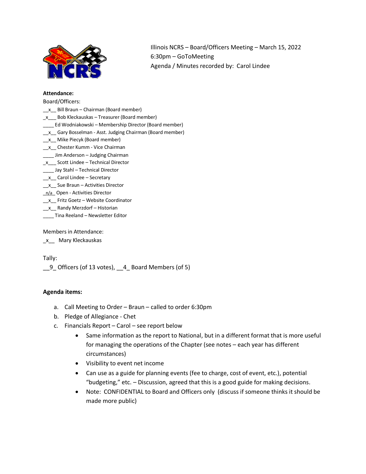

Illinois NCRS – Board/Officers Meeting – March 15, 2022 6:30pm – GoToMeeting Agenda / Minutes recorded by: Carol Lindee

#### **Attendance:**

Board/Officers:

- $x$  Bill Braun Chairman (Board member)
- \_x\_\_\_ Bob Kleckauskas Treasurer (Board member)
- \_\_\_\_ Ed Wodniakowski Membership Director (Board member)
- \_x\_ Gary Bosselman Asst. Judging Chairman (Board member)
- \_\_x\_\_ Mike Piecyk (Board member)
- \_\_x\_\_ Chester Kumm Vice Chairman
- \_\_\_\_ Jim Anderson Judging Chairman
- \_x\_\_\_ Scott Lindee Technical Director
- \_\_\_\_ Jay Stahl Technical Director
- \_\_x\_\_ Carol Lindee Secretary
- \_\_x\_\_ Sue Braun Activities Director
- n/a\_Open Activities Director
- \_x\_ Fritz Goetz Website Coordinator
- \_x\_ Randy Merzdorf Historian
- \_\_\_\_ Tina Reeland Newsletter Editor

Members in Attendance:

\_x\_\_ Mary Kleckauskas

Tally:

\_\_9\_ Officers (of 13 votes), \_\_4\_ Board Members (of 5)

# **Agenda items:**

- a. Call Meeting to Order Braun called to order 6:30pm
- b. Pledge of Allegiance Chet
- c. Financials Report Carol see report below
	- Same information as the report to National, but in a different format that is more useful for managing the operations of the Chapter (see notes – each year has different circumstances)
	- Visibility to event net income
	- Can use as a guide for planning events (fee to charge, cost of event, etc.), potential "budgeting," etc. – Discussion, agreed that this is a good guide for making decisions.
	- Note: CONFIDENTIAL to Board and Officers only (discuss if someone thinks it should be made more public)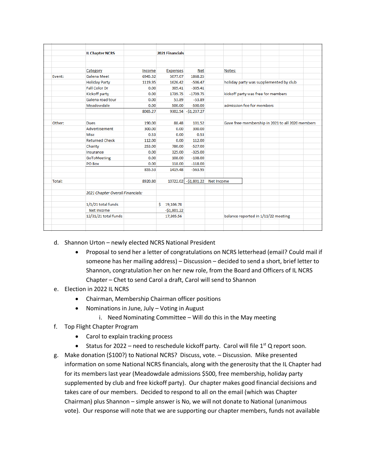|        | <b>IL Chapter NCRS</b>           |         | 2021 Financials |                                  |                                        |  |  |                                                  |  |
|--------|----------------------------------|---------|-----------------|----------------------------------|----------------------------------------|--|--|--------------------------------------------------|--|
|        |                                  |         |                 |                                  |                                        |  |  |                                                  |  |
|        |                                  |         |                 |                                  |                                        |  |  |                                                  |  |
|        | Category                         | Income  | <b>Expenses</b> | <b>Net</b>                       | Notes:                                 |  |  |                                                  |  |
| Event: | <b>Galena Meet</b>               | 6945.32 | 5077.07         | 1868.25                          |                                        |  |  |                                                  |  |
|        | <b>Holiday Party</b>             | 1119.95 | 1626.42         | $-506.47$                        | holiday party was supplemented by club |  |  |                                                  |  |
|        | <b>Fall Color Dr</b>             | 0.00    | 305.41          | $-305.41$                        |                                        |  |  |                                                  |  |
|        | Kickoff party                    | 0.00    | 1739.75         | $-1739.75$                       | kickoff party was free for members     |  |  |                                                  |  |
|        | Galena road tour                 | 0.00    | 53.89           | $-53.89$                         |                                        |  |  |                                                  |  |
|        | Meadowdale                       | 0.00    | 500.00          | $-500.00$                        | admission fee for members              |  |  |                                                  |  |
|        |                                  | 8065.27 |                 | 9302.54 -\$1,237.27              |                                        |  |  |                                                  |  |
|        |                                  |         |                 |                                  |                                        |  |  |                                                  |  |
| Other: | <b>Dues</b>                      | 190.00  | 88.48           | 101.52                           |                                        |  |  | Gave free membership in 2021 to all 2020 members |  |
|        | <b>Advertisement</b>             | 300.00  | 0.00            | 300.00                           |                                        |  |  |                                                  |  |
|        | <b>Misc</b>                      | 0.53    | 0.00            | 0.53                             |                                        |  |  |                                                  |  |
|        | <b>Returned Check</b>            | 112.00  | 0.00            | 112.00                           |                                        |  |  |                                                  |  |
|        | Charity                          | 253.00  | 780.00          | $-527.00$                        |                                        |  |  |                                                  |  |
|        | Insurance                        | 0.00    | 325.00          | $-325.00$                        |                                        |  |  |                                                  |  |
|        | GoToMeeting                      | 0.00    | 108.00          | $-108.00$                        |                                        |  |  |                                                  |  |
|        | PO Box                           | 0.00    | 118.00          | $-118.00$                        |                                        |  |  |                                                  |  |
|        |                                  | 855.53  | 1419.48         | $-563.95$                        |                                        |  |  |                                                  |  |
|        |                                  |         |                 |                                  |                                        |  |  |                                                  |  |
| Total: |                                  | 8920.80 |                 | 10722.02 - \$1,801.22 Net Income |                                        |  |  |                                                  |  |
|        |                                  |         |                 |                                  |                                        |  |  |                                                  |  |
|        | 2021 Chapter Overall Financials: |         |                 |                                  |                                        |  |  |                                                  |  |
|        |                                  |         |                 |                                  |                                        |  |  |                                                  |  |
|        | $1/1/21$ total funds             |         | Ś.<br>19,106.78 |                                  |                                        |  |  |                                                  |  |
|        | Net Income                       |         | $-$1,801.22$    |                                  |                                        |  |  |                                                  |  |
|        | 12/31/21 total funds             |         | 17,305.56       |                                  | balance reported in 1/11/22 meeting    |  |  |                                                  |  |
|        |                                  |         |                 |                                  |                                        |  |  |                                                  |  |
|        |                                  |         |                 |                                  |                                        |  |  |                                                  |  |

- d. Shannon Urton newly elected NCRS National President
	- Proposal to send her a letter of congratulations on NCRS letterhead (email? Could mail if someone has her mailing address) – Discussion – decided to send a short, brief letter to Shannon, congratulation her on her new role, from the Board and Officers of IL NCRS Chapter – Chet to send Carol a draft, Carol will send to Shannon
- e. Election in 2022 IL NCRS
	- Chairman, Membership Chairman officer positions
	- Nominations in June, July Voting in August
		- i. Need Nominating Committee Will do this in the May meeting
- f. Top Flight Chapter Program
	- Carol to explain tracking process
	- Status for 2022 need to reschedule kickoff party. Carol will file  $1^{st}$  Q report soon.
- g. Make donation (\$100?) to National NCRS? Discuss, vote. Discussion. Mike presented information on some National NCRS financials, along with the generosity that the IL Chapter had for its members last year (Meadowdale admissions \$500, free membership, holiday party supplemented by club and free kickoff party). Our chapter makes good financial decisions and takes care of our members. Decided to respond to all on the email (which was Chapter Chairman) plus Shannon – simple answer is No, we will not donate to National (unanimous vote). Our response will note that we are supporting our chapter members, funds not available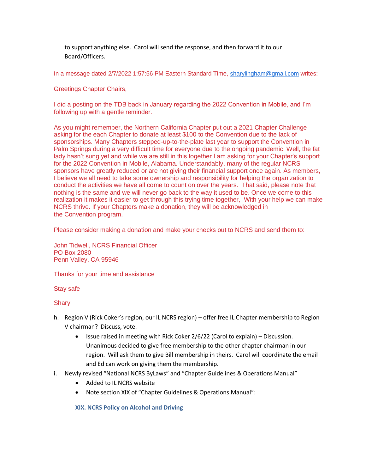to support anything else. Carol will send the response, and then forward it to our Board/Officers.

In a message dated 2/7/2022 1:57:56 PM Eastern Standard Time, [sharylingham@gmail.com](mailto:sharylingham@gmail.com) writes:

Greetings Chapter Chairs,

I did a posting on the TDB back in January regarding the 2022 Convention in Mobile, and I'm following up with a gentle reminder.

As you might remember, the Northern California Chapter put out a 2021 Chapter Challenge asking for the each Chapter to donate at least \$100 to the Convention due to the lack of sponsorships. Many Chapters stepped-up-to-the-plate last year to support the Convention in Palm Springs during a very difficult time for everyone due to the ongoing pandemic. Well, the fat lady hasn't sung yet and while we are still in this together I am asking for your Chapter's support for the 2022 Convention in Mobile, Alabama. Understandably, many of the regular NCRS sponsors have greatly reduced or are not giving their financial support once again. As members, I believe we all need to take some ownership and responsibility for helping the organization to conduct the activities we have all come to count on over the years. That said, please note that nothing is the same and we will never go back to the way it used to be. Once we come to this realization it makes it easier to get through this trying time together, With your help we can make NCRS thrive. If your Chapters make a donation, they will be acknowledged in the Convention program.

Please consider making a donation and make your checks out to NCRS and send them to:

John Tidwell, NCRS Financial Officer PO Box 2080 Penn Valley, CA 95946

Thanks for your time and assistance

Stay safe

# Sharyl

- h. Region V (Rick Coker's region, our IL NCRS region) offer free IL Chapter membership to Region V chairman? Discuss, vote.
	- Issue raised in meeting with Rick Coker 2/6/22 (Carol to explain) Discussion. Unanimous decided to give free membership to the other chapter chairman in our region. Will ask them to give Bill membership in theirs. Carol will coordinate the email and Ed can work on giving them the membership.
- i. Newly revised "National NCRS ByLaws" and "Chapter Guidelines & Operations Manual"
	- Added to IL NCRS website
	- Note section XIX of "Chapter Guidelines & Operations Manual":

# **XIX. NCRS Policy on Alcohol and Driving**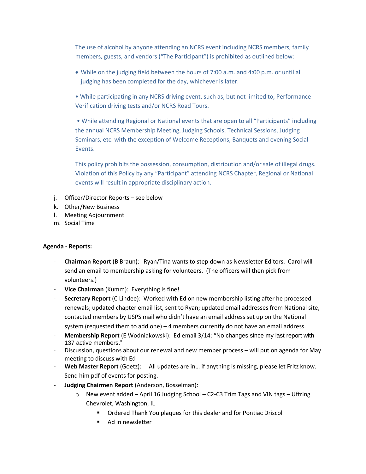The use of alcohol by anyone attending an NCRS event including NCRS members, family members, guests, and vendors ("The Participant") is prohibited as outlined below:

- While on the judging field between the hours of 7:00 a.m. and 4:00 p.m. or until all judging has been completed for the day, whichever is later.
- While participating in any NCRS driving event, such as, but not limited to, Performance Verification driving tests and/or NCRS Road Tours.

• While attending Regional or National events that are open to all "Participants" including the annual NCRS Membership Meeting, Judging Schools, Technical Sessions, Judging Seminars, etc. with the exception of Welcome Receptions, Banquets and evening Social Events.

This policy prohibits the possession, consumption, distribution and/or sale of illegal drugs. Violation of this Policy by any "Participant" attending NCRS Chapter, Regional or National events will result in appropriate disciplinary action.

- j. Officer/Director Reports see below
- k. Other/New Business
- l. Meeting Adjournment
- m. Social Time

# **Agenda - Reports:**

- **Chairman Report** (B Braun): Ryan/Tina wants to step down as Newsletter Editors. Carol will send an email to membership asking for volunteers. (The officers will then pick from volunteers.)
- **Vice Chairman** (Kumm): Everything is fine!
- **Secretary Report** (C Lindee): Worked with Ed on new membership listing after he processed renewals; updated chapter email list, sent to Ryan; updated email addresses from National site, contacted members by USPS mail who didn't have an email address set up on the National system (requested them to add one) – 4 members currently do not have an email address.
- **Membership Report** (E Wodniakowski): Ed email 3/14: "No changes since my last report with 137 active members."
- Discussion, questions about our renewal and new member process will put on agenda for May meeting to discuss with Ed
- **Web Master Report** (Goetz): All updates are in… if anything is missing, please let Fritz know. Send him pdf of events for posting.
- **Judging Chairmen Report** (Anderson, Bosselman):
	- $\circ$  New event added April 16 Judging School C2-C3 Trim Tags and VIN tags Uftring Chevrolet, Washington, IL
		- Ordered Thank You plaques for this dealer and for Pontiac Driscol
		- Ad in newsletter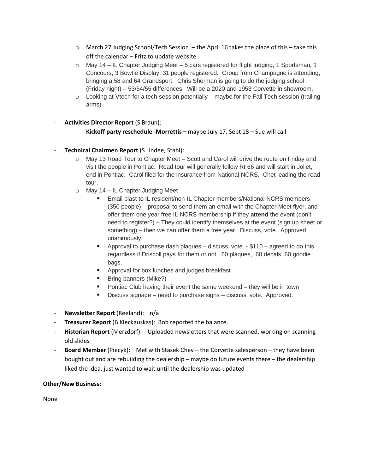- $\circ$  March 27 Judging School/Tech Session the April 16 takes the place of this take this off the calendar – Fritz to update website
- o May 14 IL Chapter Judging Meet 5 cars registered for flight judging, 1 Sportsman, 1 Concours, 3 Bowtie Display, 31 people registered. Group from Champagne is attending, bringing a 58 and 64 Grandsport. Chris Sherman is going to do the judging school (Friday night) – 53/54/55 differences. Will be a 2020 and 1953 Corvette in showroom.
- o Looking at Vtech for a tech session potentially maybe for the Fall Tech session (trailing arms)
- **Activities Director Report** (S Braun):

# **Kickoff party reschedule -Morrettis –** maybe July 17, Sept 18 – Sue will call

- **Technical Chairmen Report** (S Lindee, Stahl):
	- o May 13 Road Tour to Chapter Meet Scott and Carol will drive the route on Friday and visit the people in Pontiac. Road tour will generally follow Rt 66 and will start in Joliet, end in Pontiac. Carol filed for the insurance from National NCRS. Chet leading the road tour.
	- o May 14 IL Chapter Judging Meet
		- Email blast to IL resident/non-IL Chapter members/National NCRS members (350 people) – proposal to send them an email with the Chapter Meet flyer, and offer them one year free IL NCRS membership if they **attend** the event (don't need to register?) – They could identify themselves at the event (sign up sheet or something) – then we can offer them a free year. Discuss, vote. Approved unanimously.
		- **•** Approval to purchase dash plaques  $-$  discuss, vote.  $-$  \$110  $-$  agreed to do this regardless if Driscoll pays for them or not. 60 plaques, 60 decals, 60 goodie bags.
		- Approval for box lunches and judges breakfast
		- Bring banners (Mike?)
		- Pontiac Club having their event the same weekend they will be in town
		- Discuss signage need to purchase signs discuss, vote. Approved.
- **Newsletter Report** (Reeland): n/a
- **Treasurer Report** (B Kleckauskas): Bob reported the balance.
- **Historian Report** (Merzdorf): Uploaded newsletters that were scanned, working on scanning old slides
- **Board Member** (Piecyk): Met with Stasek Chev the Corvette salesperson they have been bought out and are rebuilding the dealership – maybe do future events there – the dealership liked the idea, just wanted to wait until the dealership was updated

# **Other/New Business:**

None